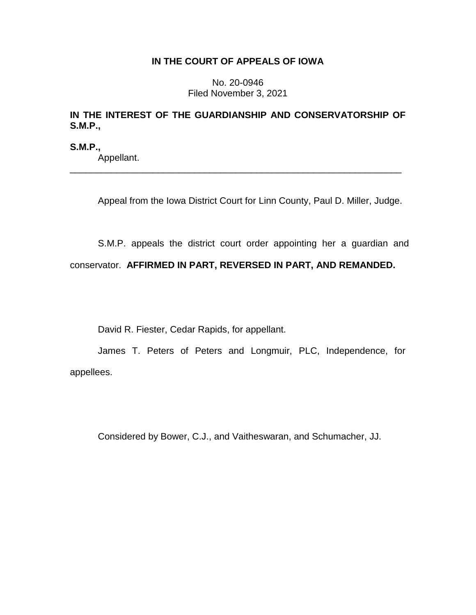## **IN THE COURT OF APPEALS OF IOWA**

No. 20-0946 Filed November 3, 2021

## **IN THE INTEREST OF THE GUARDIANSHIP AND CONSERVATORSHIP OF S.M.P.,**

**S.M.P.,** Appellant. \_\_\_\_\_\_\_\_\_\_\_\_\_\_\_\_\_\_\_\_\_\_\_\_\_\_\_\_\_\_\_\_\_\_\_\_\_\_\_\_\_\_\_\_\_\_\_\_\_\_\_\_\_\_\_\_\_\_\_\_\_\_\_\_

Appeal from the Iowa District Court for Linn County, Paul D. Miller, Judge.

S.M.P. appeals the district court order appointing her a guardian and conservator. **AFFIRMED IN PART, REVERSED IN PART, AND REMANDED.**

David R. Fiester, Cedar Rapids, for appellant.

James T. Peters of Peters and Longmuir, PLC, Independence, for appellees.

Considered by Bower, C.J., and Vaitheswaran, and Schumacher, JJ.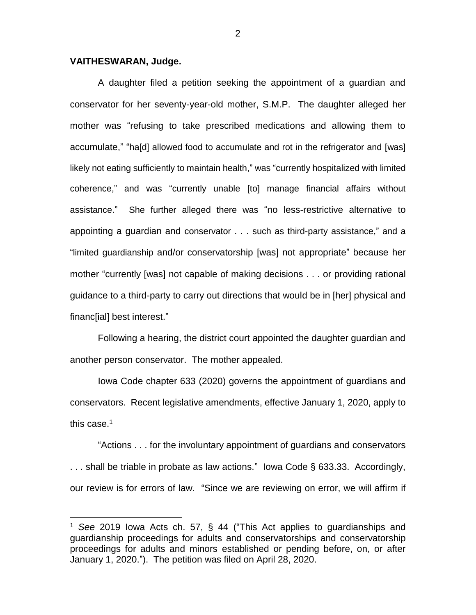## **VAITHESWARAN, Judge.**

 $\overline{a}$ 

A daughter filed a petition seeking the appointment of a guardian and conservator for her seventy-year-old mother, S.M.P. The daughter alleged her mother was "refusing to take prescribed medications and allowing them to accumulate," "ha[d] allowed food to accumulate and rot in the refrigerator and [was] likely not eating sufficiently to maintain health," was "currently hospitalized with limited coherence," and was "currently unable [to] manage financial affairs without assistance." She further alleged there was "no less-restrictive alternative to appointing a guardian and conservator . . . such as third-party assistance," and a "limited guardianship and/or conservatorship [was] not appropriate" because her mother "currently [was] not capable of making decisions . . . or providing rational guidance to a third-party to carry out directions that would be in [her] physical and financ[ial] best interest."

Following a hearing, the district court appointed the daughter guardian and another person conservator. The mother appealed.

Iowa Code chapter 633 (2020) governs the appointment of guardians and conservators. Recent legislative amendments, effective January 1, 2020, apply to this case. $1$ 

"Actions . . . for the involuntary appointment of guardians and conservators . . . shall be triable in probate as law actions." Iowa Code § 633.33. Accordingly, our review is for errors of law. "Since we are reviewing on error, we will affirm if

<sup>1</sup> *See* 2019 Iowa Acts ch. 57, § 44 ("This Act applies to guardianships and guardianship proceedings for adults and conservatorships and conservatorship proceedings for adults and minors established or pending before, on, or after January 1, 2020."). The petition was filed on April 28, 2020.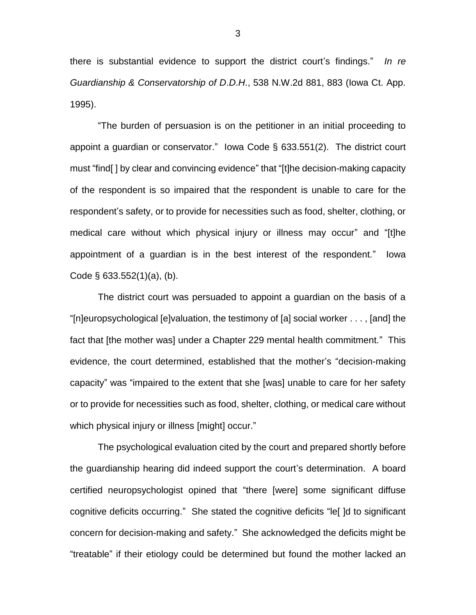there is substantial evidence to support the district court's findings." *In re Guardianship & Conservatorship of D*.*D*.*H*., 538 N.W.2d 881, 883 (Iowa Ct. App. 1995).

"The burden of persuasion is on the petitioner in an initial proceeding to appoint a guardian or conservator." Iowa Code § 633.551(2). The district court must "find[ ] by clear and convincing evidence" that "[t]he decision-making capacity of the respondent is so impaired that the respondent is unable to care for the respondent's safety, or to provide for necessities such as food, shelter, clothing, or medical care without which physical injury or illness may occur" and "[t]he appointment of a guardian is in the best interest of the respondent." Iowa Code § 633.552(1)(a), (b).

The district court was persuaded to appoint a guardian on the basis of a "[n]europsychological [e]valuation, the testimony of [a] social worker . . . , [and] the fact that [the mother was] under a Chapter 229 mental health commitment." This evidence, the court determined, established that the mother's "decision-making capacity" was "impaired to the extent that she [was] unable to care for her safety or to provide for necessities such as food, shelter, clothing, or medical care without which physical injury or illness [might] occur."

The psychological evaluation cited by the court and prepared shortly before the guardianship hearing did indeed support the court's determination. A board certified neuropsychologist opined that "there [were] some significant diffuse cognitive deficits occurring." She stated the cognitive deficits "le[ ]d to significant concern for decision-making and safety." She acknowledged the deficits might be "treatable" if their etiology could be determined but found the mother lacked an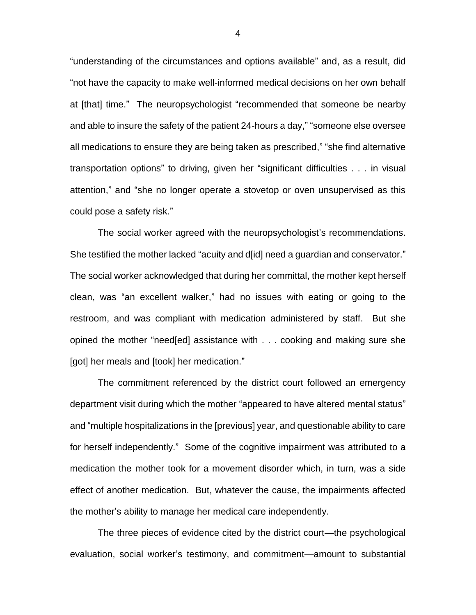"understanding of the circumstances and options available" and, as a result, did "not have the capacity to make well-informed medical decisions on her own behalf at [that] time." The neuropsychologist "recommended that someone be nearby and able to insure the safety of the patient 24-hours a day," "someone else oversee all medications to ensure they are being taken as prescribed," "she find alternative transportation options" to driving, given her "significant difficulties . . . in visual attention," and "she no longer operate a stovetop or oven unsupervised as this could pose a safety risk."

The social worker agreed with the neuropsychologist's recommendations. She testified the mother lacked "acuity and d[id] need a guardian and conservator." The social worker acknowledged that during her committal, the mother kept herself clean, was "an excellent walker," had no issues with eating or going to the restroom, and was compliant with medication administered by staff. But she opined the mother "need[ed] assistance with . . . cooking and making sure she [got] her meals and [took] her medication."

The commitment referenced by the district court followed an emergency department visit during which the mother "appeared to have altered mental status" and "multiple hospitalizations in the [previous] year, and questionable ability to care for herself independently." Some of the cognitive impairment was attributed to a medication the mother took for a movement disorder which, in turn, was a side effect of another medication. But, whatever the cause, the impairments affected the mother's ability to manage her medical care independently.

The three pieces of evidence cited by the district court—the psychological evaluation, social worker's testimony, and commitment—amount to substantial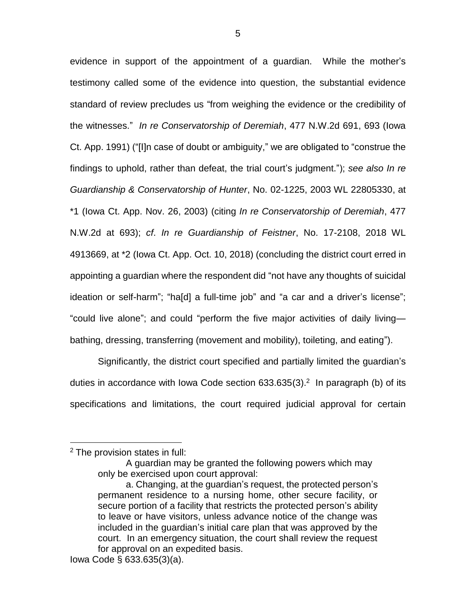evidence in support of the appointment of a guardian. While the mother's testimony called some of the evidence into question, the substantial evidence standard of review precludes us "from weighing the evidence or the credibility of the witnesses." *In re Conservatorship of Deremiah*, 477 N.W.2d 691, 693 (Iowa Ct. App. 1991) ("[I]n case of doubt or ambiguity," we are obligated to "construe the findings to uphold, rather than defeat, the trial court's judgment."); *see also In re Guardianship & Conservatorship of Hunter*, No. 02-1225, 2003 WL 22805330, at \*1 (Iowa Ct. App. Nov. 26, 2003) (citing *In re Conservatorship of Deremiah*, 477 N.W.2d at 693); *cf*. *In re Guardianship of Feistner*, No. 17-2108, 2018 WL 4913669, at \*2 (Iowa Ct. App. Oct. 10, 2018) (concluding the district court erred in appointing a guardian where the respondent did "not have any thoughts of suicidal ideation or self-harm"; "ha[d] a full-time job" and "a car and a driver's license"; "could live alone"; and could "perform the five major activities of daily living bathing, dressing, transferring (movement and mobility), toileting, and eating").

Significantly, the district court specified and partially limited the guardian's duties in accordance with lowa Code section  $633.635(3).<sup>2</sup>$  In paragraph (b) of its specifications and limitations, the court required judicial approval for certain

 $\overline{a}$ 

<sup>2</sup> The provision states in full:

A guardian may be granted the following powers which may only be exercised upon court approval:

a. Changing, at the guardian's request, the protected person's permanent residence to a nursing home, other secure facility, or secure portion of a facility that restricts the protected person's ability to leave or have visitors, unless advance notice of the change was included in the guardian's initial care plan that was approved by the court. In an emergency situation, the court shall review the request for approval on an expedited basis.

Iowa Code § 633.635(3)(a).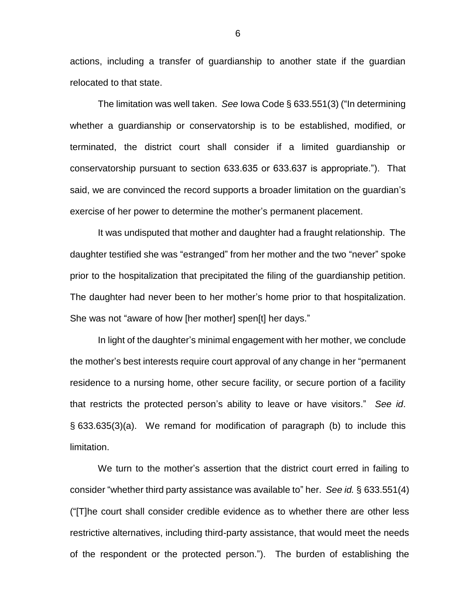actions, including a transfer of guardianship to another state if the guardian relocated to that state.

The limitation was well taken. *See* Iowa Code § 633.551(3) ("In determining whether a guardianship or conservatorship is to be established, modified, or terminated, the district court shall consider if a limited guardianship or conservatorship pursuant to section 633.635 or 633.637 is appropriate."). That said, we are convinced the record supports a broader limitation on the guardian's exercise of her power to determine the mother's permanent placement.

It was undisputed that mother and daughter had a fraught relationship. The daughter testified she was "estranged" from her mother and the two "never" spoke prior to the hospitalization that precipitated the filing of the guardianship petition. The daughter had never been to her mother's home prior to that hospitalization. She was not "aware of how [her mother] spen[t] her days."

In light of the daughter's minimal engagement with her mother, we conclude the mother's best interests require court approval of any change in her "permanent residence to a nursing home, other secure facility, or secure portion of a facility that restricts the protected person's ability to leave or have visitors." *See id*. § 633.635(3)(a). We remand for modification of paragraph (b) to include this limitation.

We turn to the mother's assertion that the district court erred in failing to consider "whether third party assistance was available to" her. *See id.* § 633.551(4) ("[T]he court shall consider credible evidence as to whether there are other less restrictive alternatives, including third-party assistance, that would meet the needs of the respondent or the protected person."). The burden of establishing the

6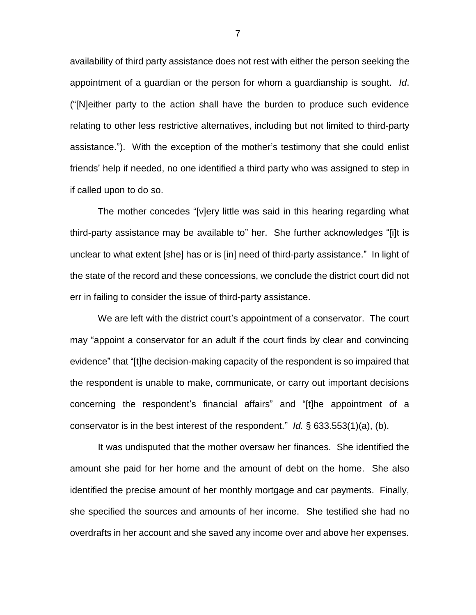availability of third party assistance does not rest with either the person seeking the appointment of a guardian or the person for whom a guardianship is sought. *Id*. ("[N]either party to the action shall have the burden to produce such evidence relating to other less restrictive alternatives, including but not limited to third-party assistance."). With the exception of the mother's testimony that she could enlist friends' help if needed, no one identified a third party who was assigned to step in if called upon to do so.

The mother concedes "[v]ery little was said in this hearing regarding what third-party assistance may be available to" her. She further acknowledges "[i]t is unclear to what extent [she] has or is [in] need of third-party assistance." In light of the state of the record and these concessions, we conclude the district court did not err in failing to consider the issue of third-party assistance.

We are left with the district court's appointment of a conservator. The court may "appoint a conservator for an adult if the court finds by clear and convincing evidence" that "[t]he decision-making capacity of the respondent is so impaired that the respondent is unable to make, communicate, or carry out important decisions concerning the respondent's financial affairs" and "[t]he appointment of a conservator is in the best interest of the respondent." *Id.* § 633.553(1)(a), (b).

It was undisputed that the mother oversaw her finances. She identified the amount she paid for her home and the amount of debt on the home. She also identified the precise amount of her monthly mortgage and car payments. Finally, she specified the sources and amounts of her income. She testified she had no overdrafts in her account and she saved any income over and above her expenses.

7